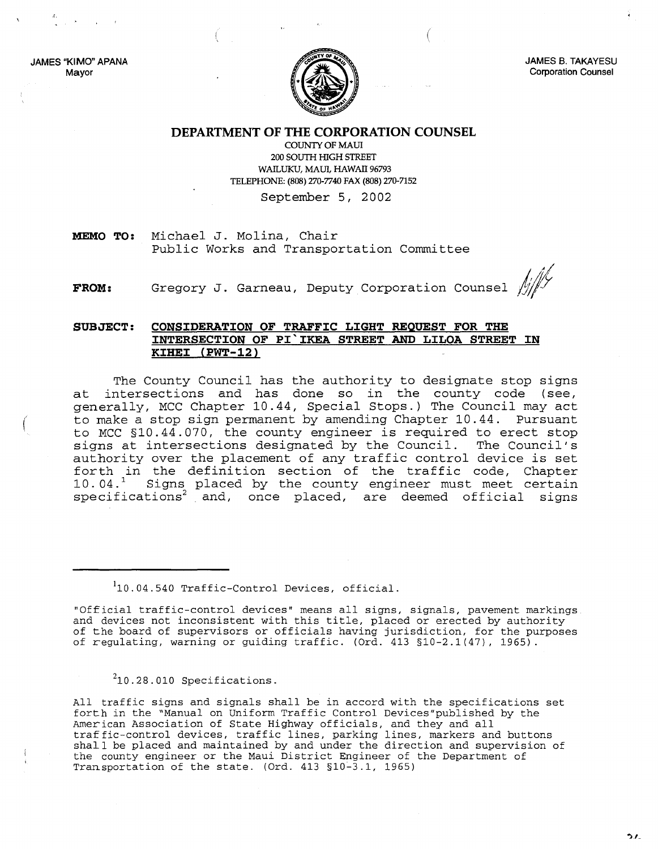JAMES "KIMO" APANA Mayor

(



(

JAMES B. TAKAYESU Corporation Counsel

**DEPARTMENT OF THE CORPORATION COUNSEL**

COUNTY OF MAUl 200 SOUTH HIGH STREET WAILUKU, MAUl, HAWAll 96793 TELEPHONE: (808) 270-7740 FAX (808) 270-7152

September 5, 2002

**MEMO TO:** Michael J. Molina, Chair Public Works and Transportation Committee

**FROM:** Gregory J. Garneau, Deputy Corporation Counsel  $/\!\!/\!\!/\!\!/\!\!$ 

## **SUBJECT: CONSIDERATION OF TRAFFIC LIGHT REQUEST FOR THE INTERSECTION OF PI'IKEA STREET AND LILOA STREET IN KIHEI (PWT-12)**

The County Council has the authority to designate stop signs at intersections and has done so in the county code (see, generally, *MCC* Chapter 10.44, Special Stops.) The Council may act to make a stop sign permanent by amending Chapter 10.44. Pursuant to *MCC* §10.44.070, the county engineer is required to erect stop signs at intersections designated by the Council. The Council's authority over the placement of any traffic control device is set forth in the definition section of the traffic code, Chapter 10.04.<sup>1</sup> Signs placed by the county engineer must meet certain force. Signs praced by the county engineer mase meet certain<br>specifications<sup>2</sup> and, once placed, are deemed official signs

'10.04.540 Traffic-Control Devices, official.

"Official traffic-control devices" means all signs, signals, pavement markings and devices not inconsistent with this title, placed or erected by authority of the board of supervisors or officials having jurisdiction, for the purposes of regulating, warning or guiding traffic. (Ord. 413 §10-2.1(47), 1965).

 $210.28.010$  Specifications.

All traffic signs and signals shall be in accord with the specifications set forth in the "Manual on Uniform Traffic Control Devices"published by the American Association of State Highway officials, and they and all traffic-control devices, traffic lines, parking lines, markers and buttons shall be placed and maintained by and under the direction and supervision of the county engineer or the Maui District Engineer of the Department of Transportation of the state. (Ord. 413 §10-3.1, 1965)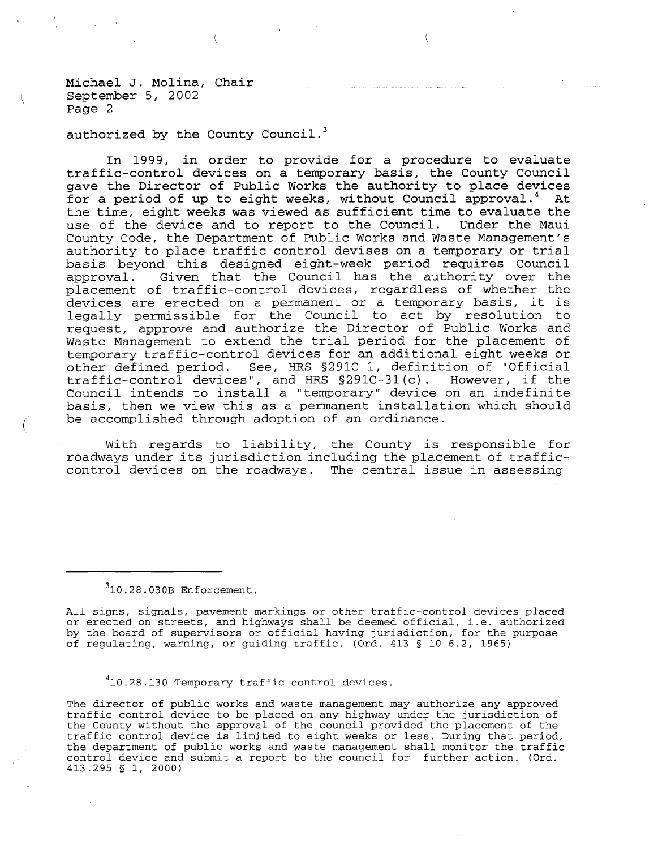Michael J. Molina, Chair September 5, 2002 Page 2

authorized by the County Council.<sup>3</sup>

In 1999, in order to provide for a procedure to evaluate traffic-control devices on <sup>a</sup> temporary basis, the County Council gave the Director of Public Works the authority to place devices for a period of up to eight weeks, without Council approval.<sup>4</sup> At the time, eight weeks was viewed as sufficient time to evaluate the use of the device and to report to the Council. Under the Maui County Code, the Department of Public Works and Waste Management's authority to place traffic control devises on <sup>a</sup> temporary or trial basis beyond this designed eight-week period requires Council approval. Given that the Council has the authority over the placement of traffic-control devices, regardless of whether the devices are erected on <sup>a</sup> permanent or <sup>a</sup> temporary basis, it is legally permissible for the Council to act by resolution to request, approve and authorize the Director of Public Works and Waste Management to extend the trial period for the placement of temporary traffic-control devices for an additional eight weeks or other defined period. See, HRS *§291C-1,* definition of "Official traffic-control devices", and HRS §291C-31(c). However, if the Council intends to install <sup>a</sup> "temporary" device on an indefinite basis, then we view this as <sup>a</sup> permanent installation which should be accomplished through adoption of an ordinance.

With regards to liability, the County is responsible for roadways under its jurisdiction including the placement of trafficcontrol devices on the roadways. The central issue in assessing

 $310.28.030B$  Enforcement.

All signs, signals, pavement markings or other traffic-control devices placed or erected on streets, and highways shall be deemed official, i.e. authorized by the board of supervisors or official having jurisdiction, for the purpose of regulating, warning, or guiding traffic. (Ord. <sup>413</sup> § 10-6.2, 1965)

<sup>4</sup>10.28.130 Temporary traffic control devices.

The director of public works and waste management may authorize any approved traffic control device to be placed on any highway under the jurisdiction of the County without the approval of the council provided the placement of the traffic control device is limited to eight weeks or less. During that period, the department of public works and waste management shall monitor the traffic control device and submit a report to the council for further action. (Ord. 413.295 § 1, 2000)